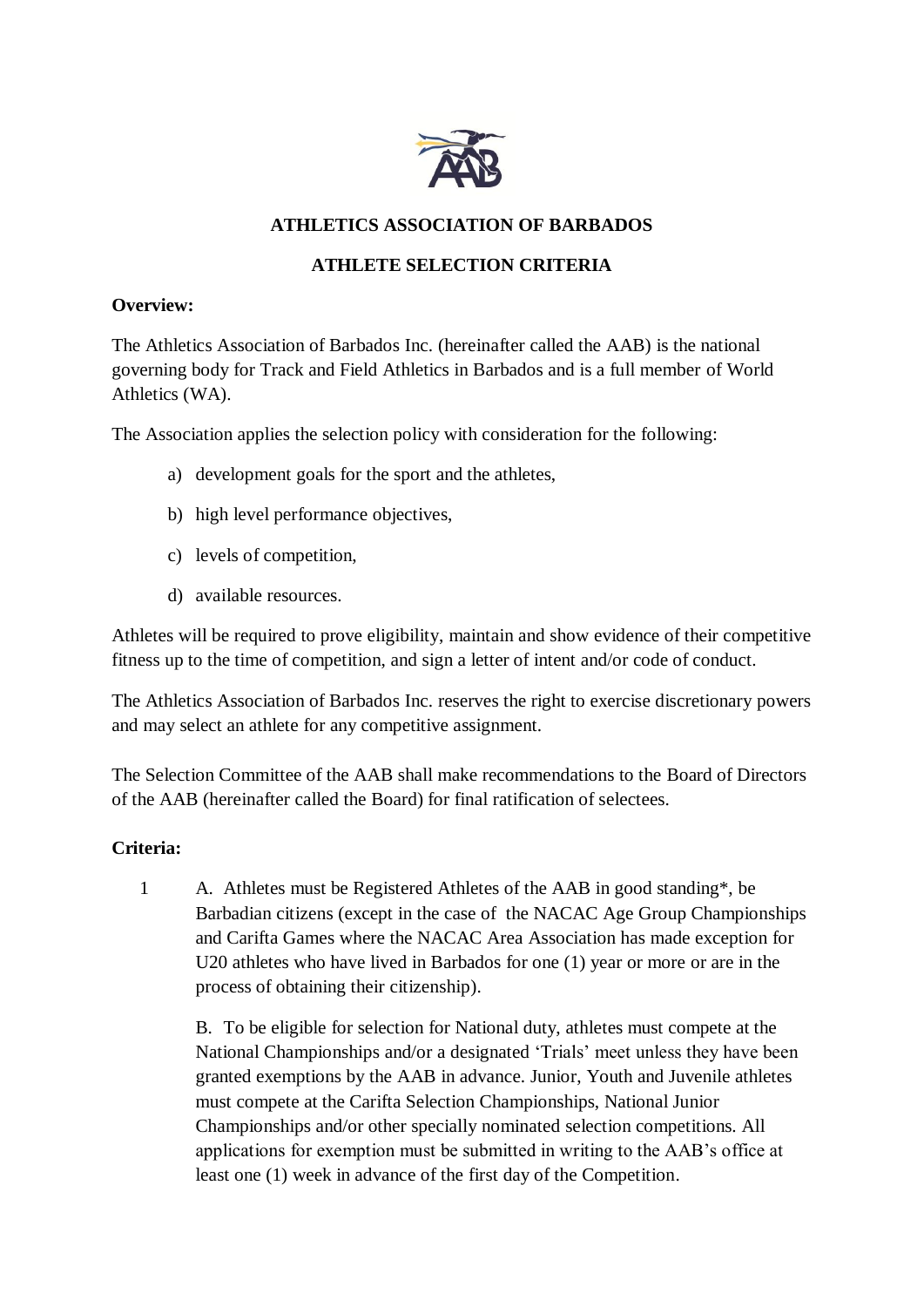

### **ATHLETICS ASSOCIATION OF BARBADOS**

# **ATHLETE SELECTION CRITERIA**

#### **Overview:**

The Athletics Association of Barbados Inc. (hereinafter called the AAB) is the national governing body for Track and Field Athletics in Barbados and is a full member of World Athletics (WA).

The Association applies the selection policy with consideration for the following:

- a) development goals for the sport and the athletes,
- b) high level performance objectives,
- c) levels of competition,
- d) available resources.

Athletes will be required to prove eligibility, maintain and show evidence of their competitive fitness up to the time of competition, and sign a letter of intent and/or code of conduct.

The Athletics Association of Barbados Inc. reserves the right to exercise discretionary powers and may select an athlete for any competitive assignment.

The Selection Committee of the AAB shall make recommendations to the Board of Directors of the AAB (hereinafter called the Board) for final ratification of selectees.

### **Criteria:**

1 A. Athletes must be Registered Athletes of the AAB in good standing\*, be Barbadian citizens (except in the case of the NACAC Age Group Championships and Carifta Games where the NACAC Area Association has made exception for U20 athletes who have lived in Barbados for one (1) year or more or are in the process of obtaining their citizenship).

B. To be eligible for selection for National duty, athletes must compete at the National Championships and/or a designated 'Trials' meet unless they have been granted exemptions by the AAB in advance. Junior, Youth and Juvenile athletes must compete at the Carifta Selection Championships, National Junior Championships and/or other specially nominated selection competitions. All applications for exemption must be submitted in writing to the AAB's office at least one (1) week in advance of the first day of the Competition.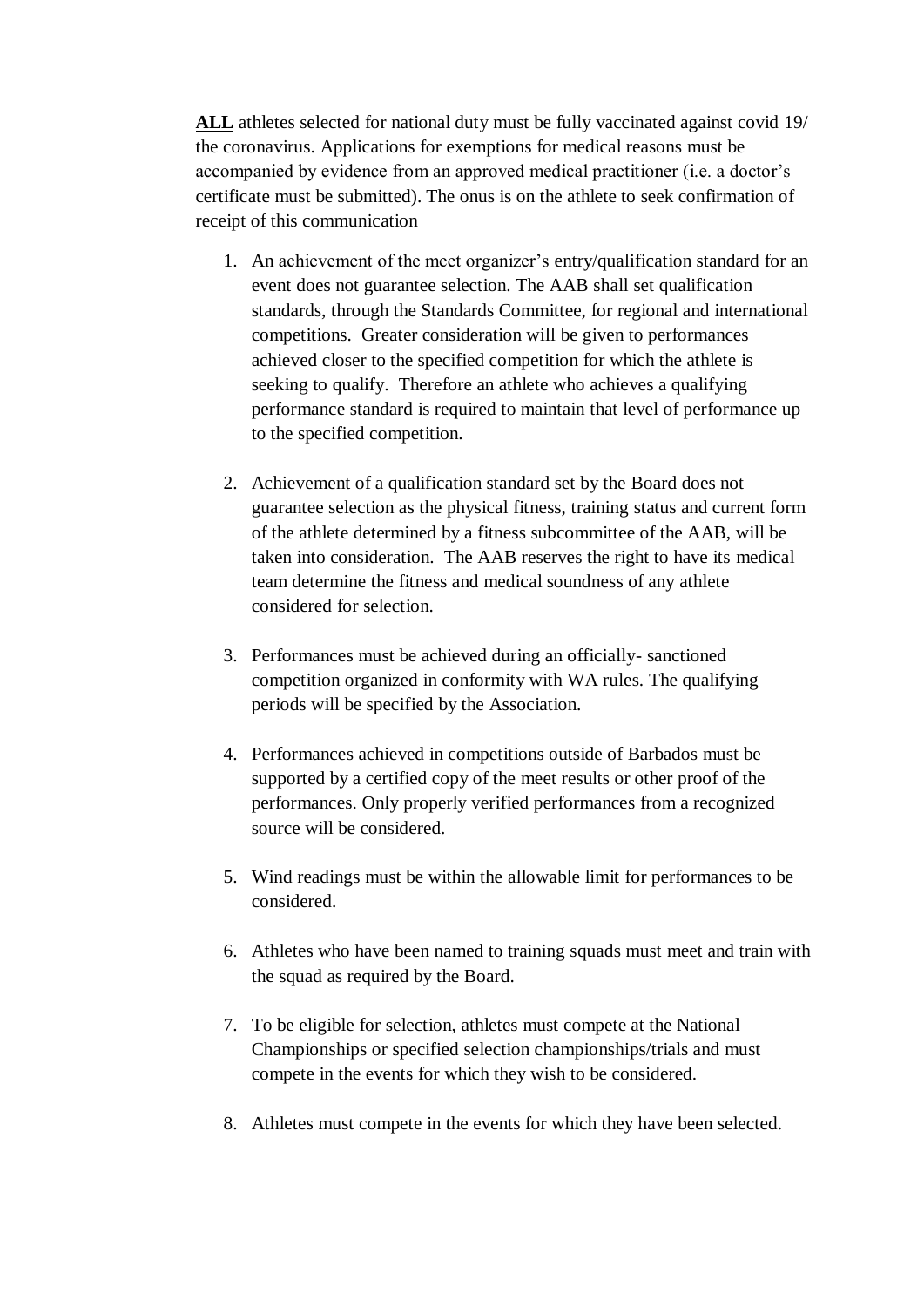**ALL** athletes selected for national duty must be fully vaccinated against covid 19/ the coronavirus. Applications for exemptions for medical reasons must be accompanied by evidence from an approved medical practitioner (i.e. a doctor's certificate must be submitted). The onus is on the athlete to seek confirmation of receipt of this communication

- 1. An achievement of the meet organizer's entry/qualification standard for an event does not guarantee selection. The AAB shall set qualification standards, through the Standards Committee, for regional and international competitions. Greater consideration will be given to performances achieved closer to the specified competition for which the athlete is seeking to qualify. Therefore an athlete who achieves a qualifying performance standard is required to maintain that level of performance up to the specified competition.
- 2. Achievement of a qualification standard set by the Board does not guarantee selection as the physical fitness, training status and current form of the athlete determined by a fitness subcommittee of the AAB, will be taken into consideration. The AAB reserves the right to have its medical team determine the fitness and medical soundness of any athlete considered for selection.
- 3. Performances must be achieved during an officially- sanctioned competition organized in conformity with WA rules. The qualifying periods will be specified by the Association.
- 4. Performances achieved in competitions outside of Barbados must be supported by a certified copy of the meet results or other proof of the performances. Only properly verified performances from a recognized source will be considered.
- 5. Wind readings must be within the allowable limit for performances to be considered.
- 6. Athletes who have been named to training squads must meet and train with the squad as required by the Board.
- 7. To be eligible for selection, athletes must compete at the National Championships or specified selection championships/trials and must compete in the events for which they wish to be considered.
- 8. Athletes must compete in the events for which they have been selected.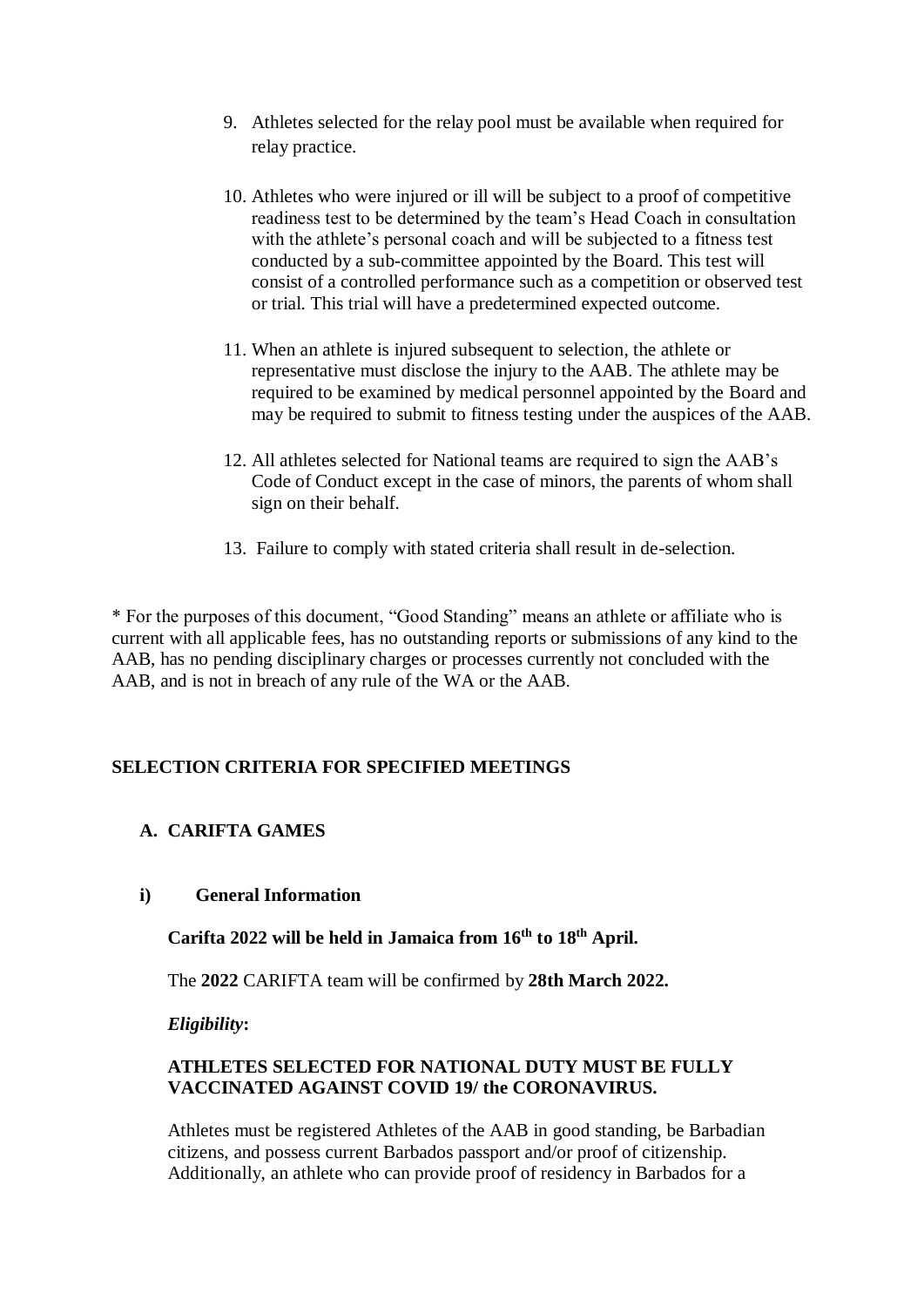- 9. Athletes selected for the relay pool must be available when required for relay practice.
- 10. Athletes who were injured or ill will be subject to a proof of competitive readiness test to be determined by the team's Head Coach in consultation with the athlete's personal coach and will be subjected to a fitness test conducted by a sub-committee appointed by the Board. This test will consist of a controlled performance such as a competition or observed test or trial. This trial will have a predetermined expected outcome.
- 11. When an athlete is injured subsequent to selection, the athlete or representative must disclose the injury to the AAB. The athlete may be required to be examined by medical personnel appointed by the Board and may be required to submit to fitness testing under the auspices of the AAB.
- 12. All athletes selected for National teams are required to sign the AAB's Code of Conduct except in the case of minors, the parents of whom shall sign on their behalf.
- 13. Failure to comply with stated criteria shall result in de-selection.

\* For the purposes of this document, "Good Standing" means an athlete or affiliate who is current with all applicable fees, has no outstanding reports or submissions of any kind to the AAB, has no pending disciplinary charges or processes currently not concluded with the AAB, and is not in breach of any rule of the WA or the AAB.

# **SELECTION CRITERIA FOR SPECIFIED MEETINGS**

# **A. CARIFTA GAMES**

### **i) General Information**

**Carifta 2022 will be held in Jamaica from 16th to 18 th April.**

The **2022** CARIFTA team will be confirmed by **28th March 2022.**

*Eligibility***:**

### **ATHLETES SELECTED FOR NATIONAL DUTY MUST BE FULLY VACCINATED AGAINST COVID 19/ the CORONAVIRUS.**

Athletes must be registered Athletes of the AAB in good standing, be Barbadian citizens, and possess current Barbados passport and/or proof of citizenship. Additionally, an athlete who can provide proof of residency in Barbados for a